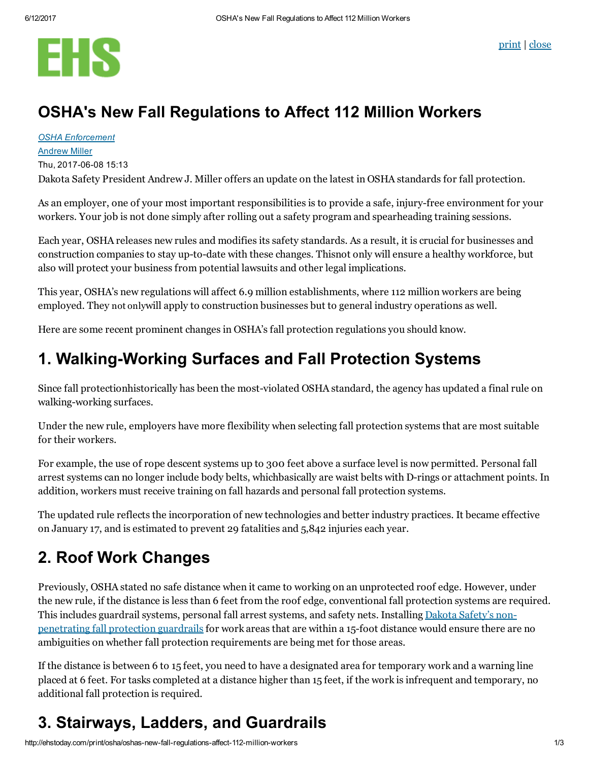

### OSHA's New Fall Regulations to Affect 112 Million Workers

#### OSHA [Enforcement](http://ehstoday.com/osha-enforcement-2) [Andrew](http://ehstoday.com/author/andrew-miller) Miller Thu, 2017-06-08 15:13

Dakota Safety President Andrew J. Miller offers an update on the latest in OSHA standards for fall protection.

As an employer, one of your most important responsibilities is to provide a safe, injury-free environment for your workers. Your job is not done simply after rolling out a safety program and spearheading training sessions.

Each year, OSHA releases new rules and modifies its safety standards. As a result, it is crucial for businesses and construction companies to stay up-to-date with these changes. Thisnot only will ensure a healthy workforce, but also will protect your business from potential lawsuits and other legal implications.

This year, OSHA's new regulations will affect 6.9 million establishments, where 112 million workers are being employed. They not onlywill apply to construction businesses but to general industry operations as well.

Here are some recent prominent changes in OSHA's fall protection regulations you should know.

#### 1. Walking-Working Surfaces and Fall Protection Systems

Since fall protectionhistorically has been the most-violated OSHA standard, the agency has updated a final rule on walking-working surfaces.

Under the new rule, employers have more flexibility when selecting fall protection systems that are most suitable for their workers.

For example, the use of rope descent systems up to 300 feet above a surface level is now permitted. Personal fall arrest systems can no longer include body belts, whichbasically are waist belts with D-rings or attachment points. In addition, workers must receive training on fall hazards and personal fall protection systems.

The updated rule reflects the incorporation of new technologies and better industry practices. It became effective on January 17, and is estimated to prevent 29 fatalities and 5,842 injuries each year.

## 2. Roof Work Changes

Previously, OSHA stated no safe distance when it came to working on an unprotected roof edge. However, under the new rule, if the distance is less than 6 feet from the roof edge, conventional fall protection systems are required. This includes guardrail systems, personal fall arrest systems, and safety nets. Installing Dakota Safety's non[penetrating](https://www.dakotasafety.com/non-penetrating-guard-rails) fall protection guardrails for work areas that are within a 15-foot distance would ensure there are no ambiguities on whether fall protection requirements are being met for those areas.

If the distance is between 6 to 15 feet, you need to have a designated area for temporary work and a warning line placed at 6 feet. For tasks completed at a distance higher than 15 feet, if the work is infrequent and temporary, no additional fall protection is required.

# 3. Stairways, Ladders, and Guardrails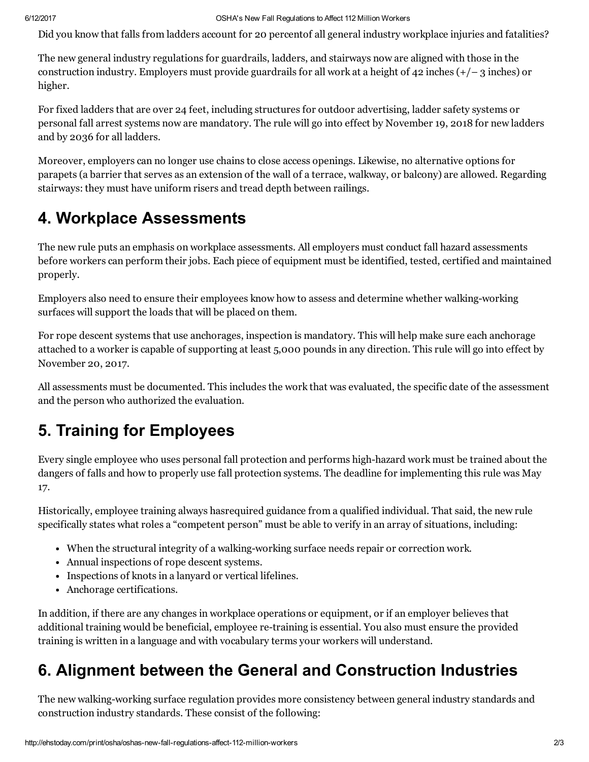Did you know that falls from ladders account for 20 percentof all general industry workplace injuries and fatalities?

The new general industry regulations for guardrails, ladders, and stairways now are aligned with those in the construction industry. Employers must provide guardrails for all work at a height of 42 inches  $(+/- 3$  inches) or higher.

For fixed ladders that are over 24 feet, including structures for outdoor advertising, ladder safety systems or personal fall arrest systems now are mandatory. The rule will go into effect by November 19, 2018 for new ladders and by 2036 for all ladders.

Moreover, employers can no longer use chains to close access openings. Likewise, no alternative options for parapets (a barrier that serves as an extension of the wall of a terrace, walkway, or balcony) are allowed. Regarding stairways: they must have uniform risers and tread depth between railings.

# 4. Workplace Assessments

The new rule puts an emphasis on workplace assessments. All employers must conduct fall hazard assessments before workers can perform their jobs. Each piece of equipment must be identified, tested, certified and maintained properly.

Employers also need to ensure their employees know how to assess and determine whether walking-working surfaces will support the loads that will be placed on them.

For rope descent systems that use anchorages, inspection is mandatory. This will help make sure each anchorage attached to a worker is capable of supporting at least 5,000 pounds in any direction. This rule will go into effect by November 20, 2017.

All assessments must be documented. This includes the work that was evaluated, the specific date of the assessment and the person who authorized the evaluation.

# 5. Training for Employees

Every single employee who uses personal fall protection and performs high-hazard work must be trained about the dangers of falls and how to properly use fall protection systems. The deadline for implementing this rule was May 17.

Historically, employee training always hasrequired guidance from a qualified individual. That said, the new rule specifically states what roles a "competent person" must be able to verify in an array of situations, including:

- When the structural integrity of a walking-working surface needs repair or correction work.
- Annual inspections of rope descent systems.
- Inspections of knots in a lanyard or vertical lifelines.
- Anchorage certifications.

In addition, if there are any changes in workplace operations or equipment, or if an employer believes that additional training would be beneficial, employee re-training is essential. You also must ensure the provided training is written in a language and with vocabulary terms your workers will understand.

### 6. Alignment between the General and Construction Industries

The new walking-working surface regulation provides more consistency between general industry standards and construction industry standards. These consist of the following: